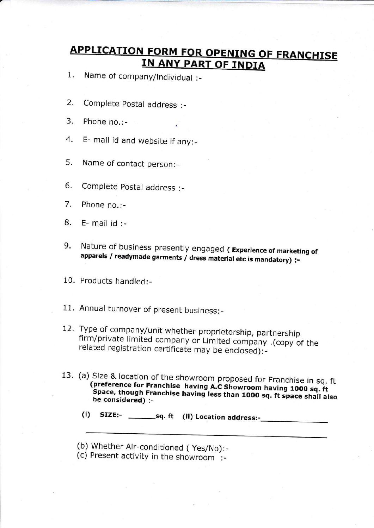## APPLICATION FORM FOR OPENING OF FRANCHISE **IN ANY PART OF INDIA**

Name of company/individual :\_  $1.$ 

- 2. Complete postal address :-
- 3. Phone no.:-
- 4. E- mail id and website if any:-
- 5. Name of contact person:-
- Complete postal address :- 6.
- Phone no.:- 7.
- E- mail id :- B.
- 9. Nature of business presently engaged (Experience of marketing of apparels / readymade garments / dress material etc is mandatory) :-
- 10. Products handled: -
- 11. Annual turnover of present business:-
- firm/private limited company or Limited company .(copy of the related registration certificate may be enclosed):-12. Type of company/unit whether proprietorship, partnership
- 13. (a) Size & location of the showroom proposed for Franchise in sq. ft<br>(preference for Franchise having A.C Showroom having 1000 sq. ft) (preference for Franchise having A.C Showroom having 1000 sq. ft<br>Space, though Franchise having less than 1000 sq. ft space shall also<br>be considered) :-
	- $(i)$  SIZE:-  $_{ssq. ft}$  (ii) Location address:- $_{ssq.}$
	- (b) Whether Air-conditioned (Yes/No):-
	- (c) Present activity in the showroom :-